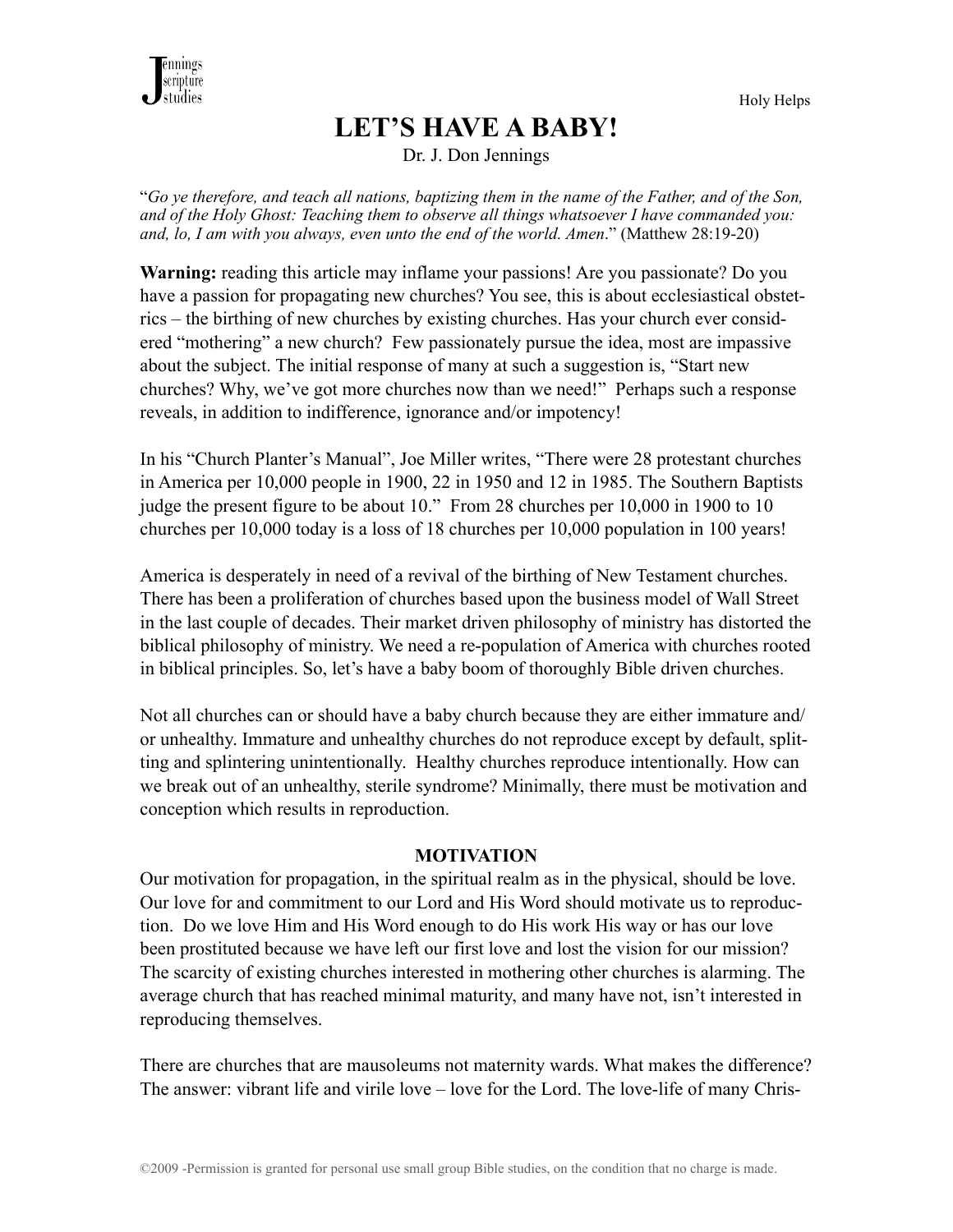

# **LET'S HAVE A BABY!**

Holy Helps

Dr. J. Don Jennings

"*Go ye therefore, and teach all nations, baptizing them in the name of the Father, and of the Son, and of the Holy Ghost: Teaching them to observe all things whatsoever I have commanded you: and, lo, I am with you always, even unto the end of the world. Amen*." (Matthew 28:19-20)

**Warning:** reading this article may inflame your passions! Are you passionate? Do you have a passion for propagating new churches? You see, this is about ecclesiastical obstetrics – the birthing of new churches by existing churches. Has your church ever considered "mothering" a new church? Few passionately pursue the idea, most are impassive about the subject. The initial response of many at such a suggestion is, "Start new churches? Why, we've got more churches now than we need!" Perhaps such a response reveals, in addition to indifference, ignorance and/or impotency!

In his "Church Planter's Manual", Joe Miller writes, "There were 28 protestant churches in America per 10,000 people in 1900, 22 in 1950 and 12 in 1985. The Southern Baptists judge the present figure to be about 10." From 28 churches per 10,000 in 1900 to 10 churches per 10,000 today is a loss of 18 churches per 10,000 population in 100 years!

America is desperately in need of a revival of the birthing of New Testament churches. There has been a proliferation of churches based upon the business model of Wall Street in the last couple of decades. Their market driven philosophy of ministry has distorted the biblical philosophy of ministry. We need a re-population of America with churches rooted in biblical principles. So, let's have a baby boom of thoroughly Bible driven churches.

Not all churches can or should have a baby church because they are either immature and/ or unhealthy. Immature and unhealthy churches do not reproduce except by default, splitting and splintering unintentionally. Healthy churches reproduce intentionally. How can we break out of an unhealthy, sterile syndrome? Minimally, there must be motivation and conception which results in reproduction.

#### **MOTIVATION**

Our motivation for propagation, in the spiritual realm as in the physical, should be love. Our love for and commitment to our Lord and His Word should motivate us to reproduction. Do we love Him and His Word enough to do His work His way or has our love been prostituted because we have left our first love and lost the vision for our mission? The scarcity of existing churches interested in mothering other churches is alarming. The average church that has reached minimal maturity, and many have not, isn't interested in reproducing themselves.

There are churches that are mausoleums not maternity wards. What makes the difference? The answer: vibrant life and virile love – love for the Lord. The love-life of many Chris-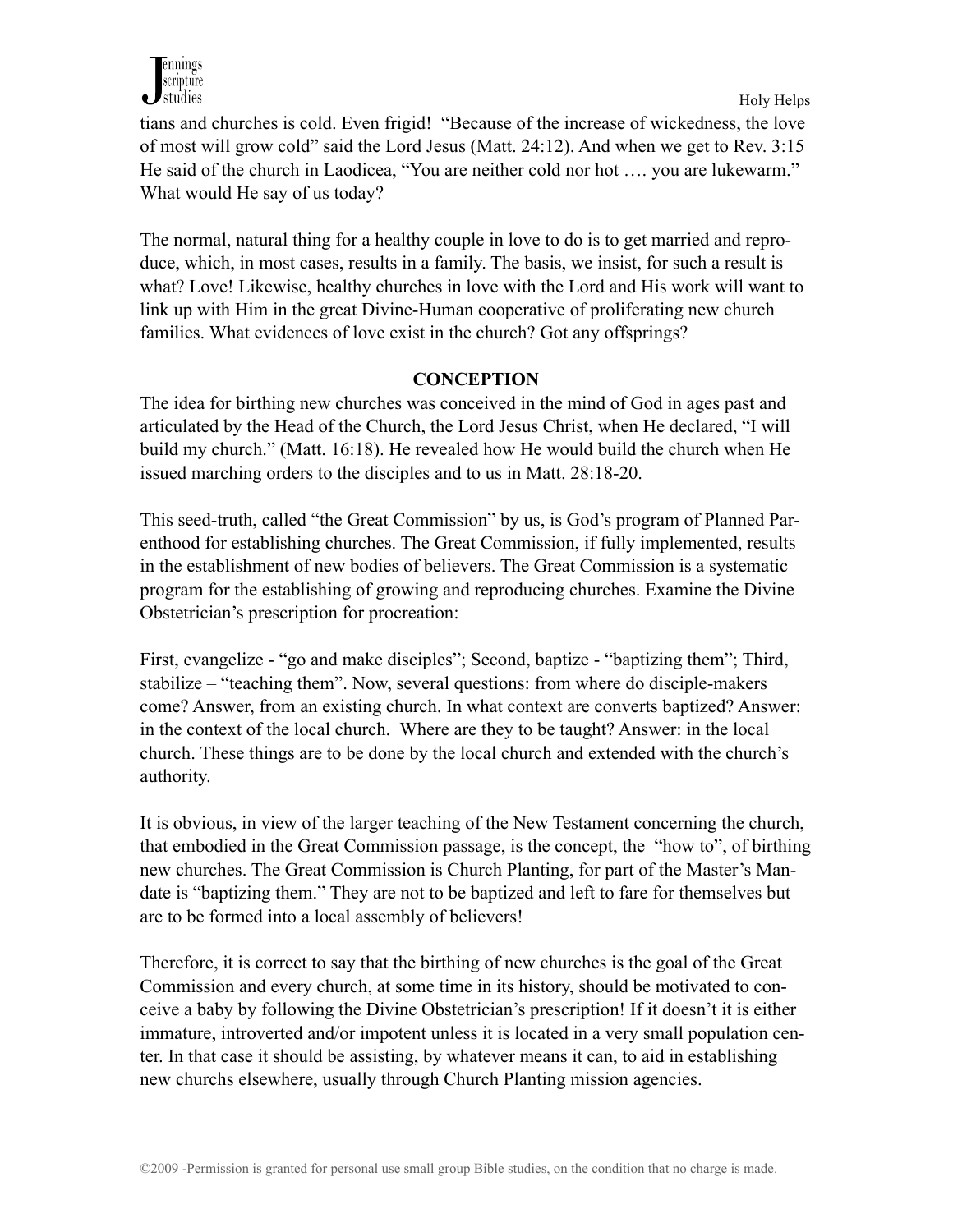

tians and churches is cold. Even frigid! "Because of the increase of wickedness, the love of most will grow cold" said the Lord Jesus (Matt. 24:12). And when we get to Rev. 3:15 He said of the church in Laodicea, "You are neither cold nor hot …. you are lukewarm." What would He say of us today?

The normal, natural thing for a healthy couple in love to do is to get married and reproduce, which, in most cases, results in a family. The basis, we insist, for such a result is what? Love! Likewise, healthy churches in love with the Lord and His work will want to link up with Him in the great Divine-Human cooperative of proliferating new church families. What evidences of love exist in the church? Got any offsprings?

## **CONCEPTION**

The idea for birthing new churches was conceived in the mind of God in ages past and articulated by the Head of the Church, the Lord Jesus Christ, when He declared, "I will build my church." (Matt. 16:18). He revealed how He would build the church when He issued marching orders to the disciples and to us in Matt. 28:18-20.

This seed-truth, called "the Great Commission" by us, is God's program of Planned Parenthood for establishing churches. The Great Commission, if fully implemented, results in the establishment of new bodies of believers. The Great Commission is a systematic program for the establishing of growing and reproducing churches. Examine the Divine Obstetrician's prescription for procreation:

First, evangelize - "go and make disciples"; Second, baptize - "baptizing them"; Third, stabilize – "teaching them". Now, several questions: from where do disciple-makers come? Answer, from an existing church. In what context are converts baptized? Answer: in the context of the local church. Where are they to be taught? Answer: in the local church. These things are to be done by the local church and extended with the church's authority.

It is obvious, in view of the larger teaching of the New Testament concerning the church, that embodied in the Great Commission passage, is the concept, the "how to", of birthing new churches. The Great Commission is Church Planting, for part of the Master's Mandate is "baptizing them." They are not to be baptized and left to fare for themselves but are to be formed into a local assembly of believers!

Therefore, it is correct to say that the birthing of new churches is the goal of the Great Commission and every church, at some time in its history, should be motivated to conceive a baby by following the Divine Obstetrician's prescription! If it doesn't it is either immature, introverted and/or impotent unless it is located in a very small population center. In that case it should be assisting, by whatever means it can, to aid in establishing new churchs elsewhere, usually through Church Planting mission agencies.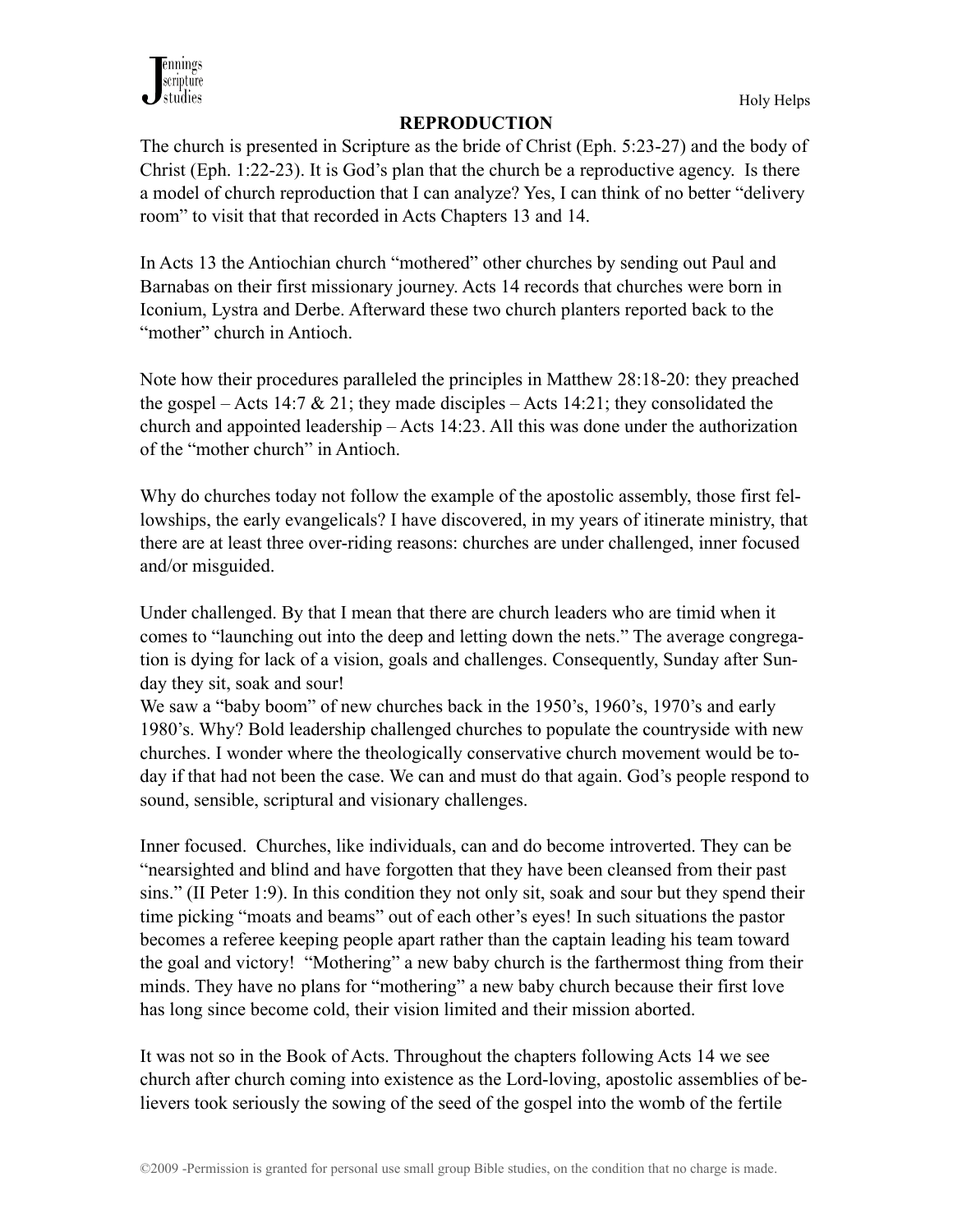

#### **REPRODUCTION**

The church is presented in Scripture as the bride of Christ (Eph. 5:23-27) and the body of Christ (Eph. 1:22-23). It is God's plan that the church be a reproductive agency. Is there a model of church reproduction that I can analyze? Yes, I can think of no better "delivery room" to visit that that recorded in Acts Chapters 13 and 14.

In Acts 13 the Antiochian church "mothered" other churches by sending out Paul and Barnabas on their first missionary journey. Acts 14 records that churches were born in Iconium, Lystra and Derbe. Afterward these two church planters reported back to the "mother" church in Antioch.

Note how their procedures paralleled the principles in Matthew 28:18-20: they preached the gospel – Acts 14:7  $\&$  21; they made disciples – Acts 14:21; they consolidated the church and appointed leadership – Acts 14:23. All this was done under the authorization of the "mother church" in Antioch.

Why do churches today not follow the example of the apostolic assembly, those first fellowships, the early evangelicals? I have discovered, in my years of itinerate ministry, that there are at least three over-riding reasons: churches are under challenged, inner focused and/or misguided.

Under challenged. By that I mean that there are church leaders who are timid when it comes to "launching out into the deep and letting down the nets." The average congregation is dying for lack of a vision, goals and challenges. Consequently, Sunday after Sunday they sit, soak and sour!

We saw a "baby boom" of new churches back in the 1950's, 1960's, 1970's and early 1980's. Why? Bold leadership challenged churches to populate the countryside with new churches. I wonder where the theologically conservative church movement would be today if that had not been the case. We can and must do that again. God's people respond to sound, sensible, scriptural and visionary challenges.

Inner focused. Churches, like individuals, can and do become introverted. They can be "nearsighted and blind and have forgotten that they have been cleansed from their past sins." (II Peter 1:9). In this condition they not only sit, soak and sour but they spend their time picking "moats and beams" out of each other's eyes! In such situations the pastor becomes a referee keeping people apart rather than the captain leading his team toward the goal and victory! "Mothering" a new baby church is the farthermost thing from their minds. They have no plans for "mothering" a new baby church because their first love has long since become cold, their vision limited and their mission aborted.

It was not so in the Book of Acts. Throughout the chapters following Acts 14 we see church after church coming into existence as the Lord-loving, apostolic assemblies of believers took seriously the sowing of the seed of the gospel into the womb of the fertile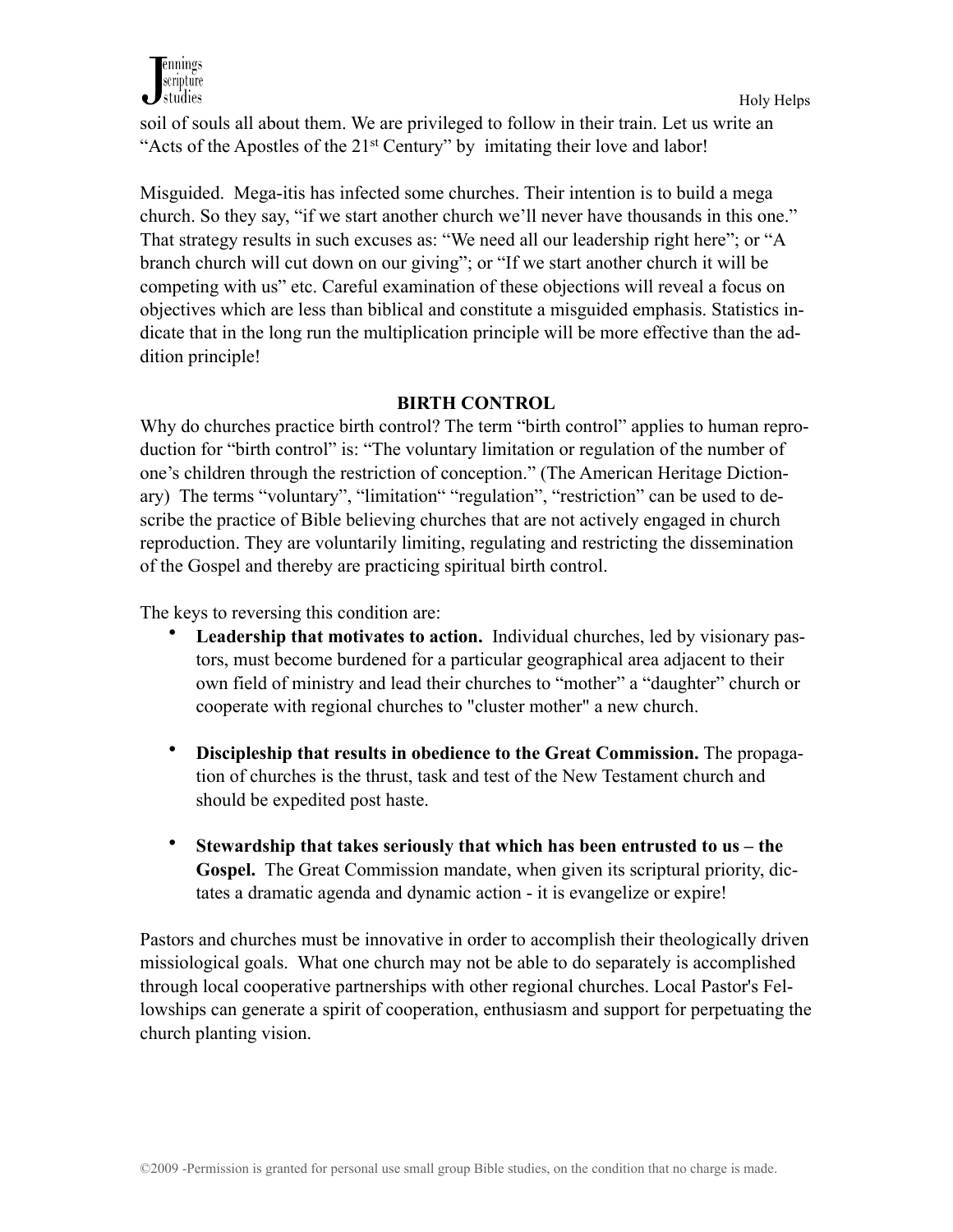

soil of souls all about them. We are privileged to follow in their train. Let us write an "Acts of the Apostles of the 21st Century" by imitating their love and labor!

Misguided.Mega-itis has infected some churches. Their intention is to build a mega church. So they say, "if we start another church we'll never have thousands in this one." That strategy results in such excuses as: "We need all our leadership right here"; or "A branch church will cut down on our giving"; or "If we start another church it will be competing with us" etc. Careful examination of these objections will reveal a focus on objectives which are less than biblical and constitute a misguided emphasis. Statistics indicate that in the long run the multiplication principle will be more effective than the addition principle!

## **BIRTH CONTROL**

Why do churches practice birth control? The term "birth control" applies to human reproduction for "birth control" is: "The voluntary limitation or regulation of the number of one's children through the restriction of conception." (The American Heritage Dictionary) The terms "voluntary", "limitation" "regulation", "restriction" can be used to describe the practice of Bible believing churches that are not actively engaged in church reproduction. They are voluntarily limiting, regulating and restricting the dissemination of the Gospel and thereby are practicing spiritual birth control.

The keys to reversing this condition are:

- **Leadership that motivates to action.** Individual churches, led by visionary pastors, must become burdened for a particular geographical area adjacent to their own field of ministry and lead their churches to "mother" a "daughter" church or cooperate with regional churches to "cluster mother" a new church.
- **Discipleship that results in obedience to the Great Commission.** The propagation of churches is the thrust, task and test of the New Testament church and should be expedited post haste.
- **Stewardship that takes seriously that which has been entrusted to us the Gospel.** The Great Commission mandate, when given its scriptural priority, dictates a dramatic agenda and dynamic action - it is evangelize or expire!

Pastors and churches must be innovative in order to accomplish their theologically driven missiological goals. What one church may not be able to do separately is accomplished through local cooperative partnerships with other regional churches. Local Pastor's Fellowships can generate a spirit of cooperation, enthusiasm and support for perpetuating the church planting vision.